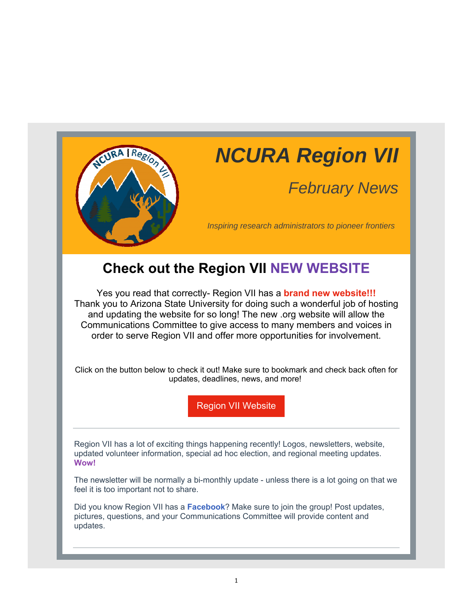

# *NCURA Region VII*

# *February News*

*Inspiring research administrators to pioneer frontiers*

### **Check out the Region VII NEW WEBSITE**

Yes you read that correctly- Region VII has a **brand new website!!!** Thank you to Arizona State University for doing such a wonderful job of hosting and updating the website for so long! The new .org website will allow the Communications Committee to give access to many members and voices in order to serve Region VII and offer more opportunities for involvement.

Click on the button below to check it out! Make sure to bookmark and check back often for updates, deadlines, news, and more!

Region VII Website

Region VII has a lot of exciting things happening recently! Logos, newsletters, website, updated volunteer information, special ad hoc election, and regional meeting updates. **Wow!**

The newsletter will be normally a bi-monthly update - unless there is a lot going on that we feel it is too important not to share.

Did you know Region VII has a **Facebook**? Make sure to join the group! Post updates, pictures, questions, and your Communications Committee will provide content and updates.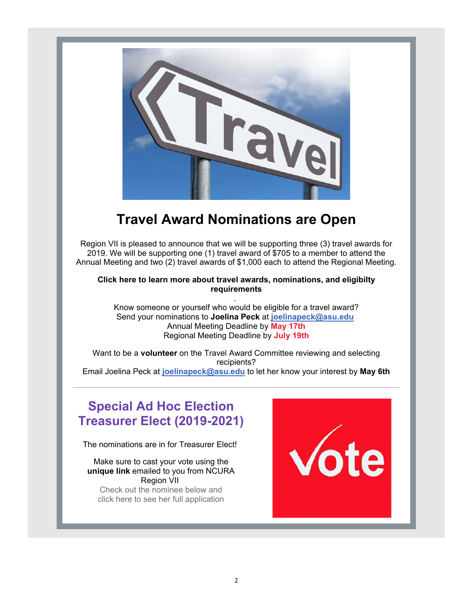

# **Travel Award Nominations are Open**

Region VII is pleased to announce that we will be supporting three (3) travel awards for 2019. We will be supporting one (1) travel award of \$705 to a member to attend the Annual Meeting and two (2) travel awards of \$1,000 each to attend the Regional Meeting.

**Click here to learn more about travel awards, nominations, and eligibilty requirements** .

Know someone or yourself who would be eligible for a travel award? Send your nominations to **Joelina Peck** at **joelinapeck@asu.edu**  Annual Meeting Deadline by **May 17th** Regional Meeting Deadline by **July 19th**

Want to be a **volunteer** on the Travel Award Committee reviewing and selecting recipients? Email Joelina Peck at **joelinapeck@asu.edu** to let her know your interest by **May 6th**

### **Special Ad Hoc Election Treasurer Elect (2019-2021)**

The nominations are in for Treasurer Elect!

Make sure to cast your vote using the **unique link** emailed to you from NCURA Region VII Check out the nominee below and click here to see her full application

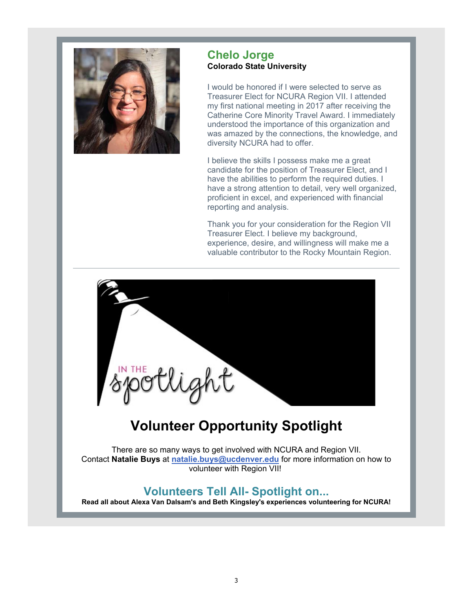

#### **Chelo Jorge Colorado State University**

I would be honored if I were selected to serve as Treasurer Elect for NCURA Region VII. I attended my first national meeting in 2017 after receiving the Catherine Core Minority Travel Award. I immediately understood the importance of this organization and was amazed by the connections, the knowledge, and diversity NCURA had to offer.

I believe the skills I possess make me a great candidate for the position of Treasurer Elect, and I have the abilities to perform the required duties. I have a strong attention to detail, very well organized, proficient in excel, and experienced with financial reporting and analysis.

Thank you for your consideration for the Region VII Treasurer Elect. I believe my background, experience, desire, and willingness will make me a valuable contributor to the Rocky Mountain Region.



# **Volunteer Opportunity Spotlight**

There are so many ways to get involved with NCURA and Region VII. Contact **Natalie Buys** at **natalie.buys@ucdenver.edu** for more information on how to volunteer with Region VII!

### **Volunteers Tell All- Spotlight on...**

**Read all about Alexa Van Dalsam's and Beth Kingsley's experiences volunteering for NCURA!**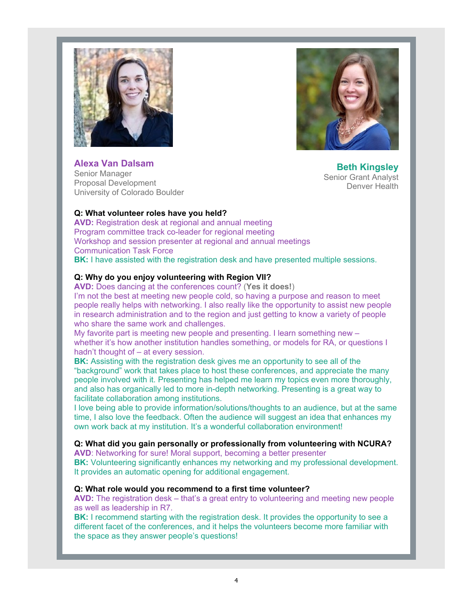



**Alexa Van Dalsam** Senior Manager Proposal Development University of Colorado Boulder

**Beth Kingsley** Senior Grant Analyst Denver Health

#### **Q: What volunteer roles have you held?**

**AVD:** Registration desk at regional and annual meeting Program committee track co-leader for regional meeting Workshop and session presenter at regional and annual meetings Communication Task Force **BK:** I have assisted with the registration desk and have presented multiple sessions.

#### **Q: Why do you enjoy volunteering with Region VII?**

**AVD:** Does dancing at the conferences count? (**Yes it does!**)

I'm not the best at meeting new people cold, so having a purpose and reason to meet people really helps with networking. I also really like the opportunity to assist new people in research administration and to the region and just getting to know a variety of people who share the same work and challenges.

My favorite part is meeting new people and presenting. I learn something new – whether it's how another institution handles something, or models for RA, or questions I hadn't thought of – at every session.

**BK:** Assisting with the registration desk gives me an opportunity to see all of the "background" work that takes place to host these conferences, and appreciate the many people involved with it. Presenting has helped me learn my topics even more thoroughly, and also has organically led to more in-depth networking. Presenting is a great way to facilitate collaboration among institutions.

I love being able to provide information/solutions/thoughts to an audience, but at the same time, I also love the feedback. Often the audience will suggest an idea that enhances my own work back at my institution. It's a wonderful collaboration environment!

#### **Q: What did you gain personally or professionally from volunteering with NCURA?**

**AVD**: Networking for sure! Moral support, becoming a better presenter **BK:** Volunteering significantly enhances my networking and my professional development. It provides an automatic opening for additional engagement.

#### **Q: What role would you recommend to a first time volunteer?**

**AVD:** The registration desk – that's a great entry to volunteering and meeting new people as well as leadership in R7.

**BK:** I recommend starting with the registration desk. It provides the opportunity to see a different facet of the conferences, and it helps the volunteers become more familiar with the space as they answer people's questions!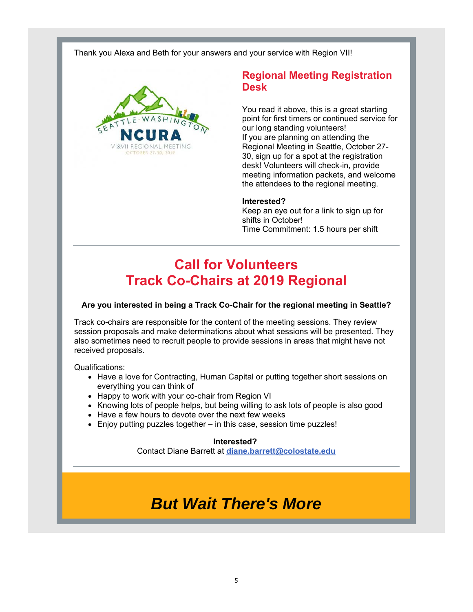Thank you Alexa and Beth for your answers and your service with Region VII!



### **Regional Meeting Registration Desk**

You read it above, this is a great starting point for first timers or continued service for our long standing volunteers! If you are planning on attending the Regional Meeting in Seattle, October 27- 30, sign up for a spot at the registration desk! Volunteers will check-in, provide meeting information packets, and welcome the attendees to the regional meeting.

#### **Interested?**

Keep an eye out for a link to sign up for shifts in October! Time Commitment: 1.5 hours per shift

# **Call for Volunteers Track Co-Chairs at 2019 Regional**

#### **Are you interested in being a Track Co-Chair for the regional meeting in Seattle?**

Track co-chairs are responsible for the content of the meeting sessions. They review session proposals and make determinations about what sessions will be presented. They also sometimes need to recruit people to provide sessions in areas that might have not received proposals.

Qualifications:

- Have a love for Contracting, Human Capital or putting together short sessions on everything you can think of
- Happy to work with your co-chair from Region VI
- Knowing lots of people helps, but being willing to ask lots of people is also good
- Have a few hours to devote over the next few weeks
- Enjoy putting puzzles together in this case, session time puzzles!

#### **Interested?**

Contact Diane Barrett at **diane.barrett@colostate.edu**

# *But Wait There's More*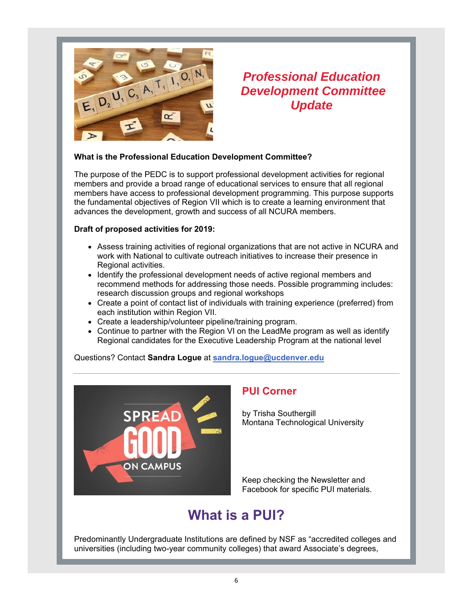

### *Professional Education Development Committee Update*

#### **What is the Professional Education Development Committee?**

The purpose of the PEDC is to support professional development activities for regional members and provide a broad range of educational services to ensure that all regional members have access to professional development programming. This purpose supports the fundamental objectives of Region VII which is to create a learning environment that advances the development, growth and success of all NCURA members.

#### **Draft of proposed activities for 2019:**

- Assess training activities of regional organizations that are not active in NCURA and work with National to cultivate outreach initiatives to increase their presence in Regional activities.
- Identify the professional development needs of active regional members and recommend methods for addressing those needs. Possible programming includes: research discussion groups and regional workshops
- Create a point of contact list of individuals with training experience (preferred) from each institution within Region VII.
- Create a leadership/volunteer pipeline/training program.
- Continue to partner with the Region VI on the LeadMe program as well as identify Regional candidates for the Executive Leadership Program at the national level

Questions? Contact **Sandra Logue** at **sandra.logue@ucdenver.edu**



### **PUI Corner**

by Trisha Southergill Montana Technological University

Keep checking the Newsletter and Facebook for specific PUI materials.

# **What is a PUI?**

Predominantly Undergraduate Institutions are defined by NSF as "accredited colleges and universities (including two-year community colleges) that award Associate's degrees,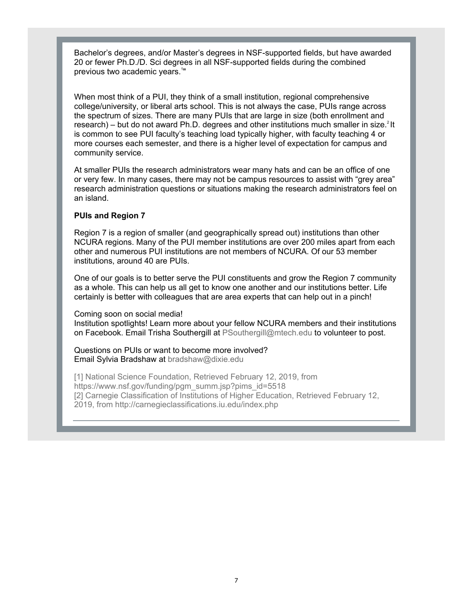Bachelor's degrees, and/or Master's degrees in NSF-supported fields, but have awarded 20 or fewer Ph.D./D. Sci degrees in all NSF-supported fields during the combined previous two academic years.<sup>1</sup>"

When most think of a PUI, they think of a small institution, regional comprehensive college/university, or liberal arts school. This is not always the case, PUIs range across the spectrum of sizes. There are many PUIs that are large in size (both enrollment and research) – but do not award Ph.D. degrees and other institutions much smaller in size. $^{2}$ It is common to see PUI faculty's teaching load typically higher, with faculty teaching 4 or more courses each semester, and there is a higher level of expectation for campus and community service.

At smaller PUIs the research administrators wear many hats and can be an office of one or very few. In many cases, there may not be campus resources to assist with "grey area" research administration questions or situations making the research administrators feel on an island.

#### **PUIs and Region 7**

Region 7 is a region of smaller (and geographically spread out) institutions than other NCURA regions. Many of the PUI member institutions are over 200 miles apart from each other and numerous PUI institutions are not members of NCURA. Of our 53 member institutions, around 40 are PUIs.

One of our goals is to better serve the PUI constituents and grow the Region 7 community as a whole. This can help us all get to know one another and our institutions better. Life certainly is better with colleagues that are area experts that can help out in a pinch!

Coming soon on social media!

Institution spotlights! Learn more about your fellow NCURA members and their institutions on Facebook. Email Trisha Southergill at PSouthergill@mtech.edu to volunteer to post.

Questions on PUIs or want to become more involved? Email Sylvia Bradshaw at bradshaw@dixie.edu

[1] National Science Foundation, Retrieved February 12, 2019, from https://www.nsf.gov/funding/pgm\_summ.jsp?pims\_id=5518 [2] Carnegie Classification of Institutions of Higher Education, Retrieved February 12, 2019, from http://carnegieclassifications.iu.edu/index.php